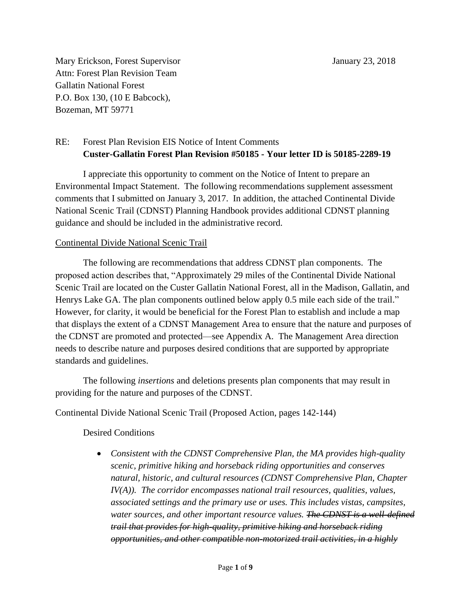Mary Erickson, Forest Supervisor January 23, 2018 Attn: Forest Plan Revision Team Gallatin National Forest P.O. Box 130, (10 E Babcock), Bozeman, MT 59771

# RE: Forest Plan Revision EIS Notice of Intent Comments **Custer-Gallatin Forest Plan Revision #50185 - Your letter ID is 50185-2289-19**

I appreciate this opportunity to comment on the Notice of Intent to prepare an Environmental Impact Statement. The following recommendations supplement assessment comments that I submitted on January 3, 2017. In addition, the attached Continental Divide National Scenic Trail (CDNST) Planning Handbook provides additional CDNST planning guidance and should be included in the administrative record.

#### Continental Divide National Scenic Trail

The following are recommendations that address CDNST plan components. The proposed action describes that, "Approximately 29 miles of the Continental Divide National Scenic Trail are located on the Custer Gallatin National Forest, all in the Madison, Gallatin, and Henrys Lake GA. The plan components outlined below apply 0.5 mile each side of the trail." However, for clarity, it would be beneficial for the Forest Plan to establish and include a map that displays the extent of a CDNST Management Area to ensure that the nature and purposes of the CDNST are promoted and protected—see Appendix A. The Management Area direction needs to describe nature and purposes desired conditions that are supported by appropriate standards and guidelines.

The following *insertions* and deletions presents plan components that may result in providing for the nature and purposes of the CDNST.

Continental Divide National Scenic Trail (Proposed Action, pages 142-144)

Desired Conditions

 *Consistent with the CDNST Comprehensive Plan, the MA provides high-quality scenic, primitive hiking and horseback riding opportunities and conserves natural, historic, and cultural resources (CDNST Comprehensive Plan, Chapter IV(A)). The corridor encompasses national trail resources, qualities, values, associated settings and the primary use or uses. This includes vistas, campsites, water sources, and other important resource values. The CDNST is a well-defined trail that provides for high-quality, primitive hiking and horseback riding opportunities, and other compatible non-motorized trail activities, in a highly*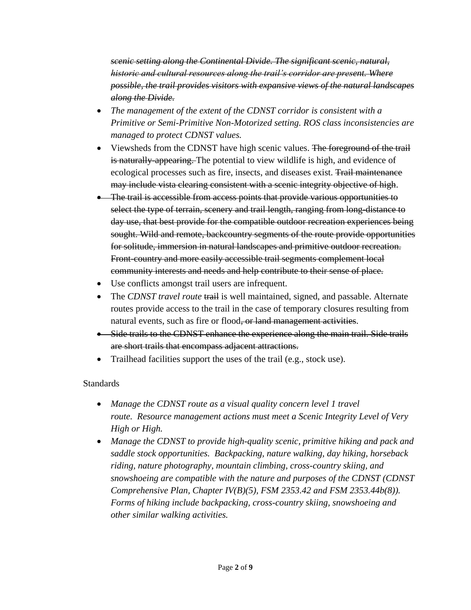*scenic setting along the Continental Divide. The significant scenic, natural, historic and cultural resources along the trail's corridor are present. Where possible, the trail provides visitors with expansive views of the natural landscapes along the Divide.* 

- *The management of the extent of the CDNST corridor is consistent with a Primitive or Semi-Primitive Non-Motorized setting. ROS class inconsistencies are managed to protect CDNST values.*
- Viewsheds from the CDNST have high scenic values. The foreground of the trail is naturally-appearing. The potential to view wildlife is high, and evidence of ecological processes such as fire, insects, and diseases exist. Trail maintenance may include vista clearing consistent with a scenic integrity objective of high.
- The trail is accessible from access points that provide various opportunities to select the type of terrain, scenery and trail length, ranging from long-distance to day use, that best provide for the compatible outdoor recreation experiences being sought. Wild and remote, backcountry segments of the route provide opportunities for solitude, immersion in natural landscapes and primitive outdoor recreation. Front-country and more easily accessible trail segments complement local community interests and needs and help contribute to their sense of place.
- Use conflicts amongst trail users are infrequent.
- The *CDNST travel route* trail is well maintained, signed, and passable. Alternate routes provide access to the trail in the case of temporary closures resulting from natural events, such as fire or flood, or land management activities.
- Side trails to the CDNST enhance the experience along the main trail. Side trails are short trails that encompass adjacent attractions.
- Trailhead facilities support the uses of the trail (e.g., stock use).

## Standards

- *Manage the CDNST route as a visual quality concern level 1 travel route. Resource management actions must meet a Scenic Integrity Level of Very High or High.*
- Manage the CDNST to provide high-quality scenic, primitive hiking and pack and *saddle stock opportunities. Backpacking, nature walking, day hiking, horseback riding, nature photography, mountain climbing, cross-country skiing, and snowshoeing are compatible with the nature and purposes of the CDNST (CDNST Comprehensive Plan, Chapter IV(B)(5), FSM 2353.42 and FSM 2353.44b(8)). Forms of hiking include backpacking, cross-country skiing, snowshoeing and other similar walking activities.*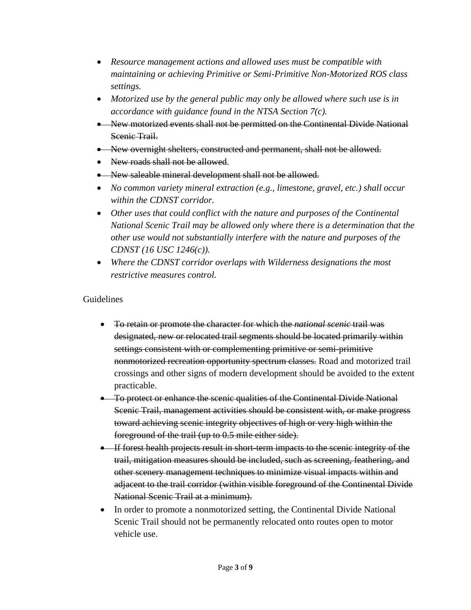- *Resource management actions and allowed uses must be compatible with maintaining or achieving Primitive or Semi-Primitive Non-Motorized ROS class settings.*
- *Motorized use by the general public may only be allowed where such use is in accordance with guidance found in the NTSA Section 7(c).*
- New motorized events shall not be permitted on the Continental Divide National Scenic Trail.
- New overnight shelters, constructed and permanent, shall not be allowed.
- New roads shall not be allowed.
- New saleable mineral development shall not be allowed.
- *No common variety mineral extraction (e.g., limestone, gravel, etc.) shall occur within the CDNST corridor.*
- *Other uses that could conflict with the nature and purposes of the Continental National Scenic Trail may be allowed only where there is a determination that the other use would not substantially interfere with the nature and purposes of the CDNST (16 USC 1246(c)).*
- *Where the CDNST corridor overlaps with Wilderness designations the most restrictive measures control.*

### Guidelines

- To retain or promote the character for which the *national scenic* trail was designated, new or relocated trail segments should be located primarily within settings consistent with or complementing primitive or semi-primitive nonmotorized recreation opportunity spectrum classes. Road and motorized trail crossings and other signs of modern development should be avoided to the extent practicable.
- To protect or enhance the scenic qualities of the Continental Divide National Scenic Trail, management activities should be consistent with, or make progress toward achieving scenic integrity objectives of high or very high within the foreground of the trail (up to 0.5 mile either side).
- If forest health projects result in short-term impacts to the scenic integrity of the trail, mitigation measures should be included, such as screening, feathering, and other scenery management techniques to minimize visual impacts within and adjacent to the trail corridor (within visible foreground of the Continental Divide National Scenic Trail at a minimum).
- In order to promote a nonmotorized setting, the Continental Divide National Scenic Trail should not be permanently relocated onto routes open to motor vehicle use.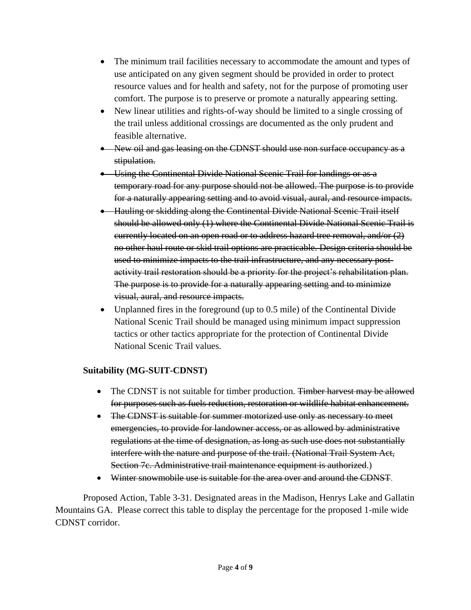- The minimum trail facilities necessary to accommodate the amount and types of use anticipated on any given segment should be provided in order to protect resource values and for health and safety, not for the purpose of promoting user comfort. The purpose is to preserve or promote a naturally appearing setting.
- New linear utilities and rights-of-way should be limited to a single crossing of the trail unless additional crossings are documented as the only prudent and feasible alternative.
- New oil and gas leasing on the CDNST should use non surface occupancy as a stipulation.
- Using the Continental Divide National Scenic Trail for landings or as a temporary road for any purpose should not be allowed. The purpose is to provide for a naturally appearing setting and to avoid visual, aural, and resource impacts.
- Hauling or skidding along the Continental Divide National Scenic Trail itself should be allowed only (1) where the Continental Divide National Scenic Trail is currently located on an open road or to address hazard tree removal, and/or (2) no other haul route or skid trail options are practicable. Design criteria should be used to minimize impacts to the trail infrastructure, and any necessary postactivity trail restoration should be a priority for the project's rehabilitation plan. The purpose is to provide for a naturally appearing setting and to minimize visual, aural, and resource impacts.
- Unplanned fires in the foreground (up to 0.5 mile) of the Continental Divide National Scenic Trail should be managed using minimum impact suppression tactics or other tactics appropriate for the protection of Continental Divide National Scenic Trail values.

## **Suitability (MG-SUIT-CDNST)**

- The CDNST is not suitable for timber production. Timber harvest may be allowed for purposes such as fuels reduction, restoration or wildlife habitat enhancement.
- The CDNST is suitable for summer motorized use only as necessary to meet emergencies, to provide for landowner access, or as allowed by administrative regulations at the time of designation, as long as such use does not substantially interfere with the nature and purpose of the trail. (National Trail System Act, Section 7c. Administrative trail maintenance equipment is authorized.)
- Winter snowmobile use is suitable for the area over and around the CDNST.

Proposed Action, Table 3-31. Designated areas in the Madison, Henrys Lake and Gallatin Mountains GA. Please correct this table to display the percentage for the proposed 1-mile wide CDNST corridor.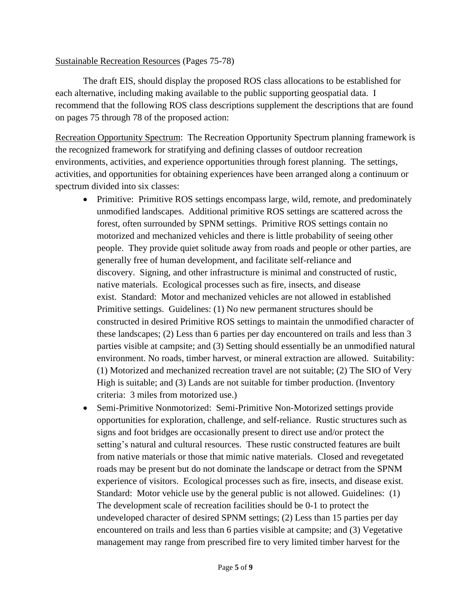#### Sustainable Recreation Resources (Pages 75-78)

The draft EIS, should display the proposed ROS class allocations to be established for each alternative, including making available to the public supporting geospatial data. I recommend that the following ROS class descriptions supplement the descriptions that are found on pages 75 through 78 of the proposed action:

Recreation Opportunity Spectrum: The Recreation Opportunity Spectrum planning framework is the recognized framework for stratifying and defining classes of outdoor recreation environments, activities, and experience opportunities through forest planning. The settings, activities, and opportunities for obtaining experiences have been arranged along a continuum or spectrum divided into six classes:

- Primitive: Primitive ROS settings encompass large, wild, remote, and predominately unmodified landscapes. Additional primitive ROS settings are scattered across the forest, often surrounded by SPNM settings. Primitive ROS settings contain no motorized and mechanized vehicles and there is little probability of seeing other people. They provide quiet solitude away from roads and people or other parties, are generally free of human development, and facilitate self-reliance and discovery. Signing, and other infrastructure is minimal and constructed of rustic, native materials. Ecological processes such as fire, insects, and disease exist. Standard: Motor and mechanized vehicles are not allowed in established Primitive settings. Guidelines: (1) No new permanent structures should be constructed in desired Primitive ROS settings to maintain the unmodified character of these landscapes; (2) Less than 6 parties per day encountered on trails and less than 3 parties visible at campsite; and (3) Setting should essentially be an unmodified natural environment. No roads, timber harvest, or mineral extraction are allowed. Suitability: (1) Motorized and mechanized recreation travel are not suitable; (2) The SIO of Very High is suitable; and (3) Lands are not suitable for timber production. (Inventory criteria: 3 miles from motorized use.)
- Semi-Primitive Nonmotorized: Semi-Primitive Non-Motorized settings provide opportunities for exploration, challenge, and self-reliance. Rustic structures such as signs and foot bridges are occasionally present to direct use and/or protect the setting's natural and cultural resources. These rustic constructed features are built from native materials or those that mimic native materials. Closed and revegetated roads may be present but do not dominate the landscape or detract from the SPNM experience of visitors. Ecological processes such as fire, insects, and disease exist. Standard: Motor vehicle use by the general public is not allowed. Guidelines: (1) The development scale of recreation facilities should be 0-1 to protect the undeveloped character of desired SPNM settings; (2) Less than 15 parties per day encountered on trails and less than 6 parties visible at campsite; and (3) Vegetative management may range from prescribed fire to very limited timber harvest for the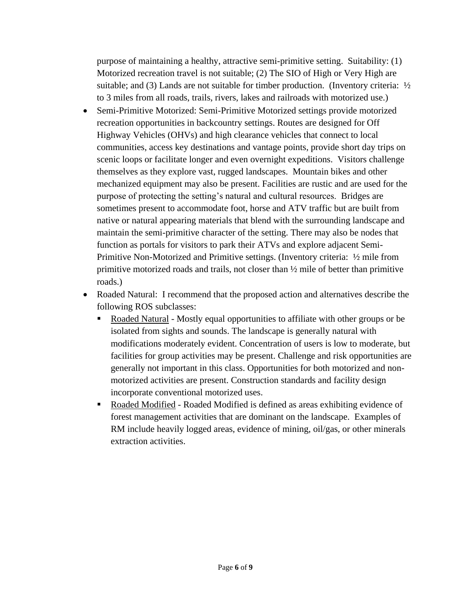purpose of maintaining a healthy, attractive semi-primitive setting. Suitability: (1) Motorized recreation travel is not suitable; (2) The SIO of High or Very High are suitable; and (3) Lands are not suitable for timber production. (Inventory criteria:  $\frac{1}{2}$ to 3 miles from all roads, trails, rivers, lakes and railroads with motorized use.)

- Semi-Primitive Motorized: Semi-Primitive Motorized settings provide motorized recreation opportunities in backcountry settings. Routes are designed for Off Highway Vehicles (OHVs) and high clearance vehicles that connect to local communities, access key destinations and vantage points, provide short day trips on scenic loops or facilitate longer and even overnight expeditions. Visitors challenge themselves as they explore vast, rugged landscapes. Mountain bikes and other mechanized equipment may also be present. Facilities are rustic and are used for the purpose of protecting the setting's natural and cultural resources. Bridges are sometimes present to accommodate foot, horse and ATV traffic but are built from native or natural appearing materials that blend with the surrounding landscape and maintain the semi-primitive character of the setting. There may also be nodes that function as portals for visitors to park their ATVs and explore adjacent Semi-Primitive Non-Motorized and Primitive settings. (Inventory criteria: ½ mile from primitive motorized roads and trails, not closer than ½ mile of better than primitive roads.)
- Roaded Natural: I recommend that the proposed action and alternatives describe the following ROS subclasses:
	- Roaded Natural Mostly equal opportunities to affiliate with other groups or be isolated from sights and sounds. The landscape is generally natural with modifications moderately evident. Concentration of users is low to moderate, but facilities for group activities may be present. Challenge and risk opportunities are generally not important in this class. Opportunities for both motorized and nonmotorized activities are present. Construction standards and facility design incorporate conventional motorized uses.
	- Roaded Modified Roaded Modified is defined as areas exhibiting evidence of forest management activities that are dominant on the landscape. Examples of RM include heavily logged areas, evidence of mining, oil/gas, or other minerals extraction activities.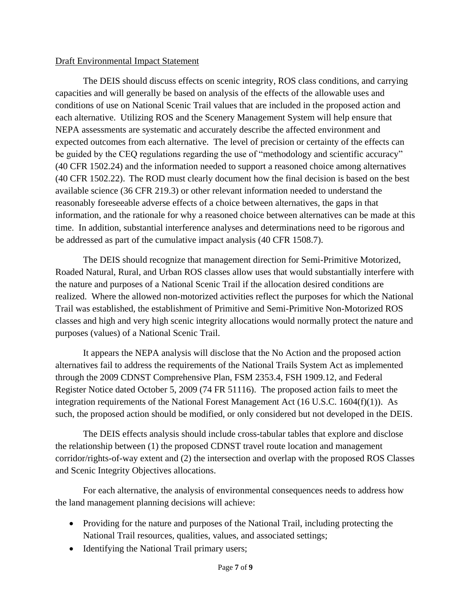#### Draft Environmental Impact Statement

The DEIS should discuss effects on scenic integrity, ROS class conditions, and carrying capacities and will generally be based on analysis of the effects of the allowable uses and conditions of use on National Scenic Trail values that are included in the proposed action and each alternative. Utilizing ROS and the Scenery Management System will help ensure that NEPA assessments are systematic and accurately describe the affected environment and expected outcomes from each alternative. The level of precision or certainty of the effects can be guided by the CEQ regulations regarding the use of "methodology and scientific accuracy" (40 CFR 1502.24) and the information needed to support a reasoned choice among alternatives (40 CFR 1502.22). The ROD must clearly document how the final decision is based on the best available science (36 CFR 219.3) or other relevant information needed to understand the reasonably foreseeable adverse effects of a choice between alternatives, the gaps in that information, and the rationale for why a reasoned choice between alternatives can be made at this time. In addition, substantial interference analyses and determinations need to be rigorous and be addressed as part of the cumulative impact analysis (40 CFR 1508.7).

The DEIS should recognize that management direction for Semi-Primitive Motorized, Roaded Natural, Rural, and Urban ROS classes allow uses that would substantially interfere with the nature and purposes of a National Scenic Trail if the allocation desired conditions are realized. Where the allowed non-motorized activities reflect the purposes for which the National Trail was established, the establishment of Primitive and Semi-Primitive Non-Motorized ROS classes and high and very high scenic integrity allocations would normally protect the nature and purposes (values) of a National Scenic Trail.

It appears the NEPA analysis will disclose that the No Action and the proposed action alternatives fail to address the requirements of the National Trails System Act as implemented through the 2009 CDNST Comprehensive Plan, FSM 2353.4, FSH 1909.12, and Federal Register Notice dated October 5, 2009 (74 FR 51116). The proposed action fails to meet the integration requirements of the National Forest Management Act (16 U.S.C. 1604(f)(1)). As such, the proposed action should be modified, or only considered but not developed in the DEIS.

The DEIS effects analysis should include cross-tabular tables that explore and disclose the relationship between (1) the proposed CDNST travel route location and management corridor/rights-of-way extent and (2) the intersection and overlap with the proposed ROS Classes and Scenic Integrity Objectives allocations.

For each alternative, the analysis of environmental consequences needs to address how the land management planning decisions will achieve:

- Providing for the nature and purposes of the National Trail, including protecting the National Trail resources, qualities, values, and associated settings;
- Identifying the National Trail primary users;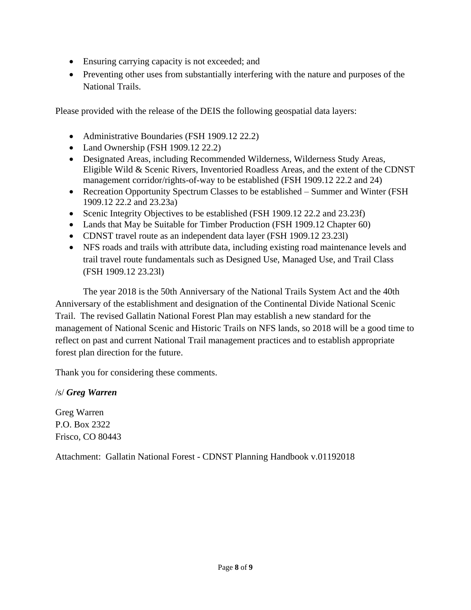- Ensuring carrying capacity is not exceeded; and
- Preventing other uses from substantially interfering with the nature and purposes of the National Trails.

Please provided with the release of the DEIS the following geospatial data layers:

- Administrative Boundaries (FSH 1909.12 22.2)
- Land Ownership (FSH 1909.12 22.2)
- Designated Areas, including Recommended Wilderness, Wilderness Study Areas, Eligible Wild & Scenic Rivers, Inventoried Roadless Areas, and the extent of the CDNST management corridor/rights-of-way to be established (FSH 1909.12 22.2 and 24)
- Recreation Opportunity Spectrum Classes to be established Summer and Winter (FSH 1909.12 22.2 and 23.23a)
- Scenic Integrity Objectives to be established (FSH 1909.12 22.2 and 23.23f)
- Lands that May be Suitable for Timber Production (FSH 1909.12 Chapter 60)
- CDNST travel route as an independent data layer (FSH 1909.12 23.231)
- NFS roads and trails with attribute data, including existing road maintenance levels and trail travel route fundamentals such as Designed Use, Managed Use, and Trail Class (FSH 1909.12 23.23l)

The year 2018 is the 50th Anniversary of the National Trails System Act and the 40th Anniversary of the establishment and designation of the Continental Divide National Scenic Trail. The revised Gallatin National Forest Plan may establish a new standard for the management of National Scenic and Historic Trails on NFS lands, so 2018 will be a good time to reflect on past and current National Trail management practices and to establish appropriate forest plan direction for the future.

Thank you for considering these comments.

## /s/ *Greg Warren*

Greg Warren P.O. Box 2322 Frisco, CO 80443

Attachment: Gallatin National Forest - CDNST Planning Handbook v.01192018